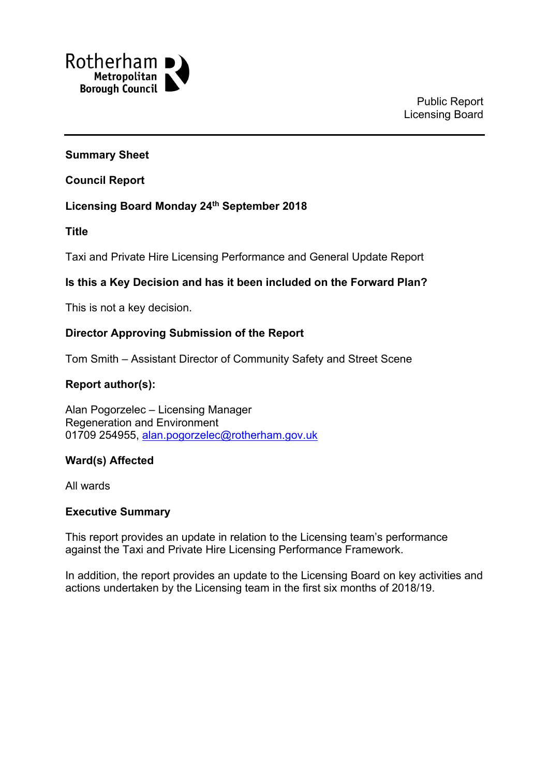

### **Summary Sheet**

**Council Report**

## **Licensing Board Monday 24th September 2018**

**Title**

Taxi and Private Hire Licensing Performance and General Update Report

## **Is this a Key Decision and has it been included on the Forward Plan?**

This is not a key decision.

### **Director Approving Submission of the Report**

Tom Smith – Assistant Director of Community Safety and Street Scene

## **Report author(s):**

Alan Pogorzelec – Licensing Manager Regeneration and Environment 01709 254955, [alan.pogorzelec@rotherham.gov.uk](mailto:alan.pogorzelec@rotherham.gov.uk)

### **Ward(s) Affected**

All wards

### **Executive Summary**

This report provides an update in relation to the Licensing team's performance against the Taxi and Private Hire Licensing Performance Framework.

In addition, the report provides an update to the Licensing Board on key activities and actions undertaken by the Licensing team in the first six months of 2018/19.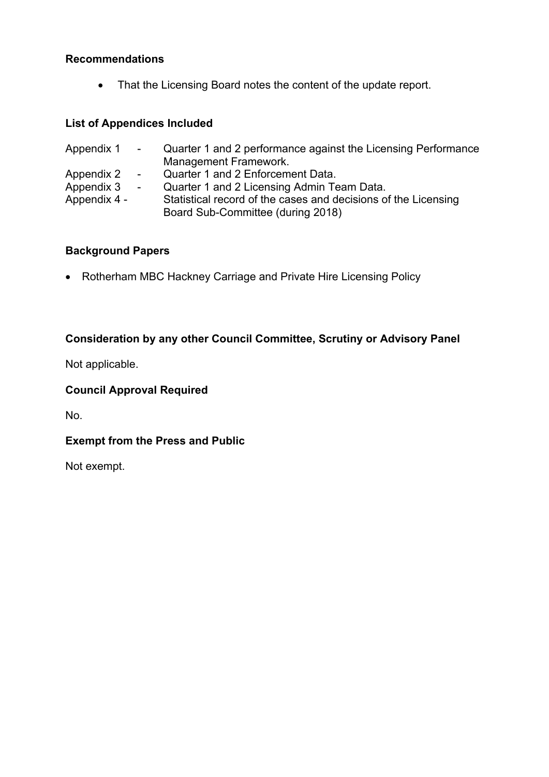# **Recommendations**

• That the Licensing Board notes the content of the update report.

# **List of Appendices Included**

| Appendix 1 - |                | Quarter 1 and 2 performance against the Licensing Performance                                       |
|--------------|----------------|-----------------------------------------------------------------------------------------------------|
|              |                | Management Framework.                                                                               |
| Appendix 2   | $\blacksquare$ | Quarter 1 and 2 Enforcement Data.                                                                   |
| Appendix 3   | $\blacksquare$ | Quarter 1 and 2 Licensing Admin Team Data.                                                          |
| Appendix 4 - |                | Statistical record of the cases and decisions of the Licensing<br>Board Sub-Committee (during 2018) |

# **Background Papers**

• Rotherham MBC Hackney Carriage and Private Hire Licensing Policy

# **Consideration by any other Council Committee, Scrutiny or Advisory Panel**

Not applicable.

# **Council Approval Required**

No.

# **Exempt from the Press and Public**

Not exempt.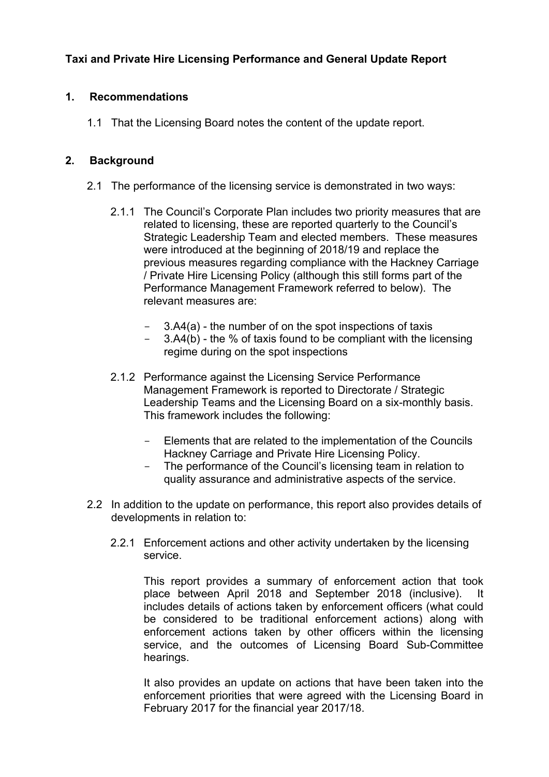# **Taxi and Private Hire Licensing Performance and General Update Report**

# **1. Recommendations**

1.1 That the Licensing Board notes the content of the update report.

# **2. Background**

- 2.1 The performance of the licensing service is demonstrated in two ways:
	- 2.1.1 The Council's Corporate Plan includes two priority measures that are related to licensing, these are reported quarterly to the Council's Strategic Leadership Team and elected members. These measures were introduced at the beginning of 2018/19 and replace the previous measures regarding compliance with the Hackney Carriage / Private Hire Licensing Policy (although this still forms part of the Performance Management Framework referred to below). The relevant measures are:
		- 3.A4(a) the number of on the spot inspections of taxis
		- 3.A4(b) the % of taxis found to be compliant with the licensing regime during on the spot inspections
	- 2.1.2 Performance against the Licensing Service Performance Management Framework is reported to Directorate / Strategic Leadership Teams and the Licensing Board on a six-monthly basis. This framework includes the following:
		- Elements that are related to the implementation of the Councils Hackney Carriage and Private Hire Licensing Policy.
		- The performance of the Council's licensing team in relation to quality assurance and administrative aspects of the service.
- 2.2 In addition to the update on performance, this report also provides details of developments in relation to:
	- 2.2.1 Enforcement actions and other activity undertaken by the licensing service.

This report provides a summary of enforcement action that took place between April 2018 and September 2018 (inclusive). It includes details of actions taken by enforcement officers (what could be considered to be traditional enforcement actions) along with enforcement actions taken by other officers within the licensing service, and the outcomes of Licensing Board Sub-Committee hearings.

It also provides an update on actions that have been taken into the enforcement priorities that were agreed with the Licensing Board in February 2017 for the financial year 2017/18.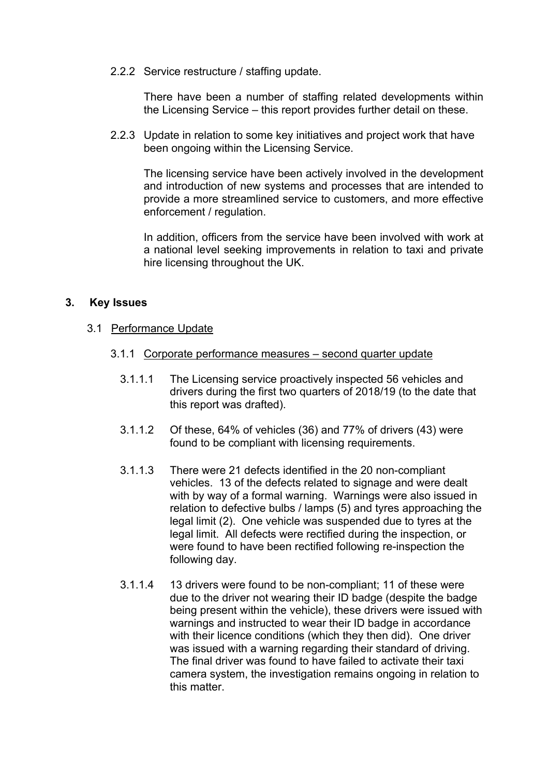2.2.2 Service restructure / staffing update.

There have been a number of staffing related developments within the Licensing Service – this report provides further detail on these.

2.2.3 Update in relation to some key initiatives and project work that have been ongoing within the Licensing Service.

The licensing service have been actively involved in the development and introduction of new systems and processes that are intended to provide a more streamlined service to customers, and more effective enforcement / regulation.

In addition, officers from the service have been involved with work at a national level seeking improvements in relation to taxi and private hire licensing throughout the UK.

## **3. Key Issues**

- 3.1 Performance Update
	- 3.1.1 Corporate performance measures second quarter update
		- 3.1.1.1 The Licensing service proactively inspected 56 vehicles and drivers during the first two quarters of 2018/19 (to the date that this report was drafted).
		- 3.1.1.2 Of these, 64% of vehicles (36) and 77% of drivers (43) were found to be compliant with licensing requirements.
		- 3.1.1.3 There were 21 defects identified in the 20 non-compliant vehicles. 13 of the defects related to signage and were dealt with by way of a formal warning. Warnings were also issued in relation to defective bulbs / lamps (5) and tyres approaching the legal limit (2). One vehicle was suspended due to tyres at the legal limit. All defects were rectified during the inspection, or were found to have been rectified following re-inspection the following day.
		- 3.1.1.4 13 drivers were found to be non-compliant; 11 of these were due to the driver not wearing their ID badge (despite the badge being present within the vehicle), these drivers were issued with warnings and instructed to wear their ID badge in accordance with their licence conditions (which they then did). One driver was issued with a warning regarding their standard of driving. The final driver was found to have failed to activate their taxi camera system, the investigation remains ongoing in relation to this matter.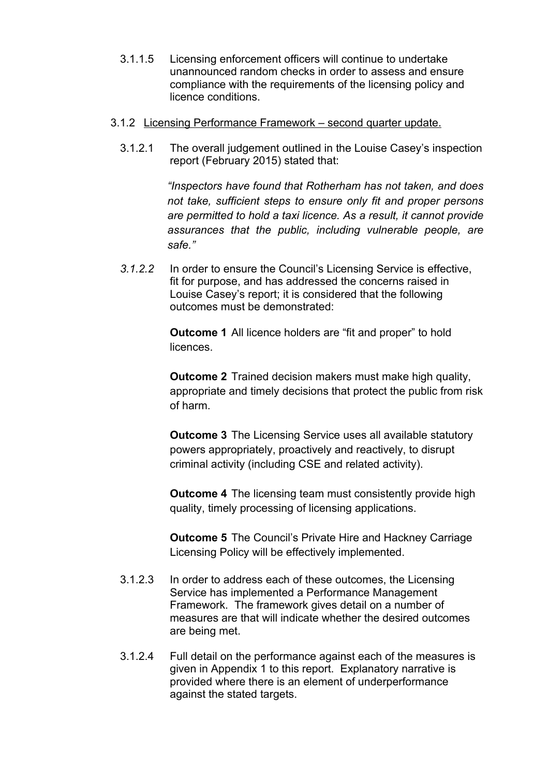- 3.1.1.5 Licensing enforcement officers will continue to undertake unannounced random checks in order to assess and ensure compliance with the requirements of the licensing policy and licence conditions.
- 3.1.2 Licensing Performance Framework second quarter update.
	- 3.1.2.1 The overall judgement outlined in the Louise Casey's inspection report (February 2015) stated that:

*"Inspectors have found that Rotherham has not taken, and does not take, sufficient steps to ensure only fit and proper persons are permitted to hold a taxi licence. As a result, it cannot provide assurances that the public, including vulnerable people, are safe."*

*3.1.2.2* In order to ensure the Council's Licensing Service is effective, fit for purpose, and has addressed the concerns raised in Louise Casey's report; it is considered that the following outcomes must be demonstrated:

> **Outcome 1** All licence holders are "fit and proper" to hold licences.

**Outcome 2** Trained decision makers must make high quality, appropriate and timely decisions that protect the public from risk of harm.

**Outcome 3** The Licensing Service uses all available statutory powers appropriately, proactively and reactively, to disrupt criminal activity (including CSE and related activity).

**Outcome 4** The licensing team must consistently provide high quality, timely processing of licensing applications.

**Outcome 5** The Council's Private Hire and Hackney Carriage Licensing Policy will be effectively implemented.

- 3.1.2.3 In order to address each of these outcomes, the Licensing Service has implemented a Performance Management Framework. The framework gives detail on a number of measures are that will indicate whether the desired outcomes are being met.
- 3.1.2.4 Full detail on the performance against each of the measures is given in Appendix 1 to this report. Explanatory narrative is provided where there is an element of underperformance against the stated targets.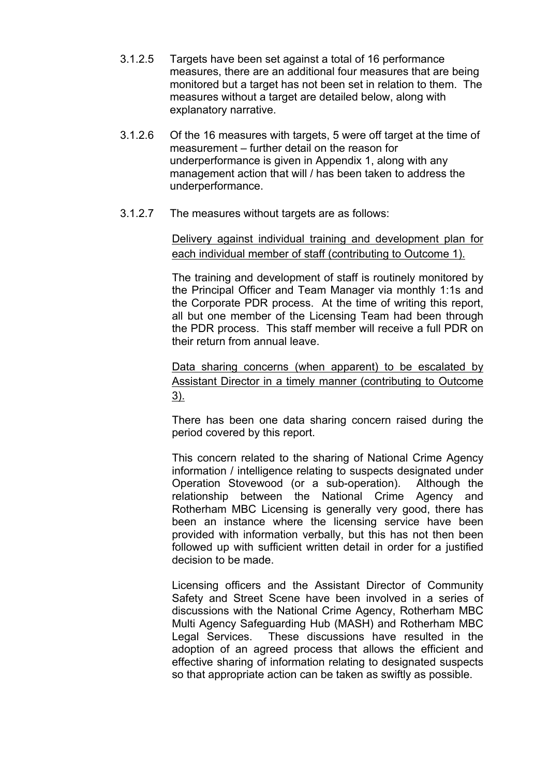- 3.1.2.5 Targets have been set against a total of 16 performance measures, there are an additional four measures that are being monitored but a target has not been set in relation to them. The measures without a target are detailed below, along with explanatory narrative.
- 3.1.2.6 Of the 16 measures with targets, 5 were off target at the time of measurement – further detail on the reason for underperformance is given in Appendix 1, along with any management action that will / has been taken to address the underperformance.
- 3.1.2.7 The measures without targets are as follows:

Delivery against individual training and development plan for each individual member of staff (contributing to Outcome 1).

The training and development of staff is routinely monitored by the Principal Officer and Team Manager via monthly 1:1s and the Corporate PDR process. At the time of writing this report, all but one member of the Licensing Team had been through the PDR process. This staff member will receive a full PDR on their return from annual leave.

Data sharing concerns (when apparent) to be escalated by Assistant Director in a timely manner (contributing to Outcome 3).

There has been one data sharing concern raised during the period covered by this report.

This concern related to the sharing of National Crime Agency information / intelligence relating to suspects designated under Operation Stovewood (or a sub-operation). Although the relationship between the National Crime Agency and Rotherham MBC Licensing is generally very good, there has been an instance where the licensing service have been provided with information verbally, but this has not then been followed up with sufficient written detail in order for a justified decision to be made.

Licensing officers and the Assistant Director of Community Safety and Street Scene have been involved in a series of discussions with the National Crime Agency, Rotherham MBC Multi Agency Safeguarding Hub (MASH) and Rotherham MBC Legal Services. These discussions have resulted in the adoption of an agreed process that allows the efficient and effective sharing of information relating to designated suspects so that appropriate action can be taken as swiftly as possible.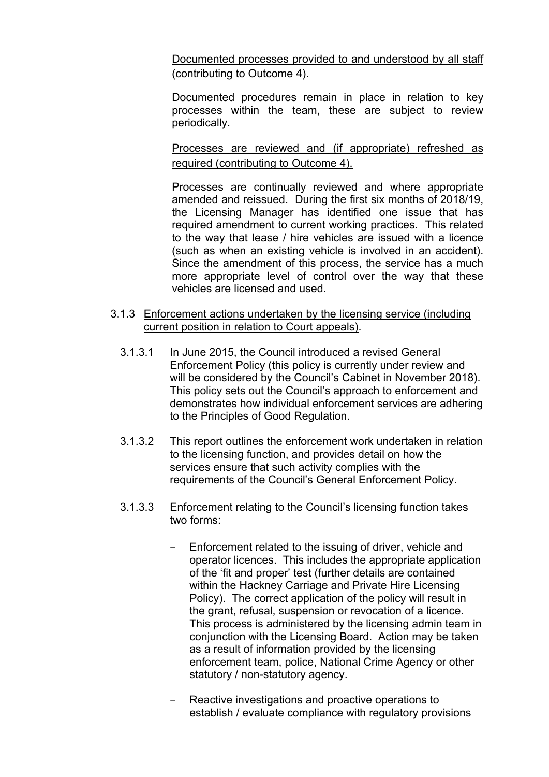Documented processes provided to and understood by all staff (contributing to Outcome 4).

Documented procedures remain in place in relation to key processes within the team, these are subject to review periodically.

Processes are reviewed and (if appropriate) refreshed as required (contributing to Outcome 4).

Processes are continually reviewed and where appropriate amended and reissued. During the first six months of 2018/19, the Licensing Manager has identified one issue that has required amendment to current working practices. This related to the way that lease / hire vehicles are issued with a licence (such as when an existing vehicle is involved in an accident). Since the amendment of this process, the service has a much more appropriate level of control over the way that these vehicles are licensed and used.

- 3.1.3 Enforcement actions undertaken by the licensing service (including current position in relation to Court appeals).
	- 3.1.3.1 In June 2015, the Council introduced a revised General Enforcement Policy (this policy is currently under review and will be considered by the Council's Cabinet in November 2018). This policy sets out the Council's approach to enforcement and demonstrates how individual enforcement services are adhering to the Principles of Good Regulation.
	- 3.1.3.2 This report outlines the enforcement work undertaken in relation to the licensing function, and provides detail on how the services ensure that such activity complies with the requirements of the Council's General Enforcement Policy.
	- 3.1.3.3 Enforcement relating to the Council's licensing function takes two forms:
		- Enforcement related to the issuing of driver, vehicle and operator licences. This includes the appropriate application of the 'fit and proper' test (further details are contained within the Hackney Carriage and Private Hire Licensing Policy). The correct application of the policy will result in the grant, refusal, suspension or revocation of a licence. This process is administered by the licensing admin team in conjunction with the Licensing Board. Action may be taken as a result of information provided by the licensing enforcement team, police, National Crime Agency or other statutory / non-statutory agency.
		- Reactive investigations and proactive operations to establish / evaluate compliance with regulatory provisions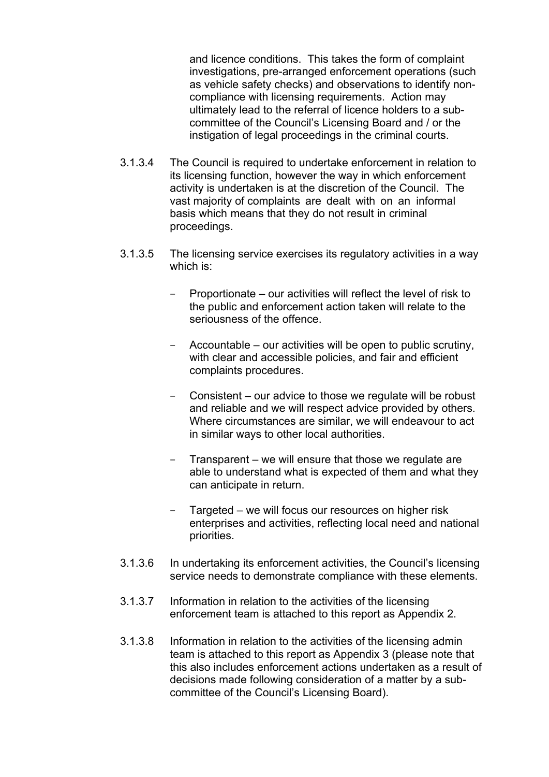and licence conditions. This takes the form of complaint investigations, pre-arranged enforcement operations (such as vehicle safety checks) and observations to identify noncompliance with licensing requirements. Action may ultimately lead to the referral of licence holders to a subcommittee of the Council's Licensing Board and / or the instigation of legal proceedings in the criminal courts.

- 3.1.3.4 The Council is required to undertake enforcement in relation to its licensing function, however the way in which enforcement activity is undertaken is at the discretion of the Council. The vast majority of complaints are dealt with on an informal basis which means that they do not result in criminal proceedings.
- 3.1.3.5 The licensing service exercises its regulatory activities in a way which is:
	- Proportionate our activities will reflect the level of risk to the public and enforcement action taken will relate to the seriousness of the offence.
	- Accountable our activities will be open to public scrutiny, with clear and accessible policies, and fair and efficient complaints procedures.
	- Consistent our advice to those we regulate will be robust and reliable and we will respect advice provided by others. Where circumstances are similar, we will endeavour to act in similar ways to other local authorities.
	- Transparent we will ensure that those we regulate are able to understand what is expected of them and what they can anticipate in return.
	- Targeted we will focus our resources on higher risk enterprises and activities, reflecting local need and national priorities.
- 3.1.3.6 In undertaking its enforcement activities, the Council's licensing service needs to demonstrate compliance with these elements.
- 3.1.3.7 Information in relation to the activities of the licensing enforcement team is attached to this report as Appendix 2.
- 3.1.3.8 Information in relation to the activities of the licensing admin team is attached to this report as Appendix 3 (please note that this also includes enforcement actions undertaken as a result of decisions made following consideration of a matter by a subcommittee of the Council's Licensing Board).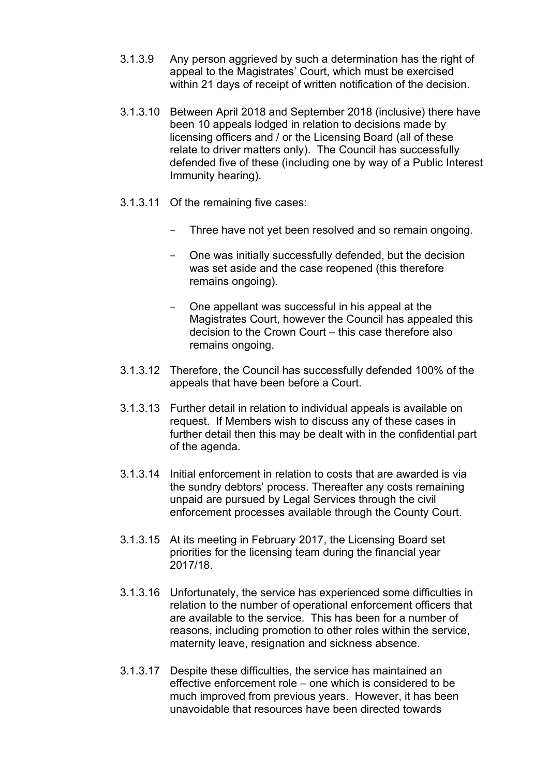- 3.1.3.9 Any person aggrieved by such a determination has the right of appeal to the Magistrates' Court, which must be exercised within 21 days of receipt of written notification of the decision.
- 3.1.3.10 Between April 2018 and September 2018 (inclusive) there have been 10 appeals lodged in relation to decisions made by licensing officers and / or the Licensing Board (all of these relate to driver matters only). The Council has successfully defended five of these (including one by way of a Public Interest Immunity hearing).
- 3.1.3.11 Of the remaining five cases:
	- Three have not yet been resolved and so remain ongoing.
	- One was initially successfully defended, but the decision was set aside and the case reopened (this therefore remains ongoing).
	- One appellant was successful in his appeal at the Magistrates Court, however the Council has appealed this decision to the Crown Court – this case therefore also remains ongoing.
- 3.1.3.12 Therefore, the Council has successfully defended 100% of the appeals that have been before a Court.
- 3.1.3.13 Further detail in relation to individual appeals is available on request. If Members wish to discuss any of these cases in further detail then this may be dealt with in the confidential part of the agenda.
- 3.1.3.14 Initial enforcement in relation to costs that are awarded is via the sundry debtors' process. Thereafter any costs remaining unpaid are pursued by Legal Services through the civil enforcement processes available through the County Court.
- 3.1.3.15 At its meeting in February 2017, the Licensing Board set priorities for the licensing team during the financial year 2017/18.
- 3.1.3.16 Unfortunately, the service has experienced some difficulties in relation to the number of operational enforcement officers that are available to the service. This has been for a number of reasons, including promotion to other roles within the service, maternity leave, resignation and sickness absence.
- 3.1.3.17 Despite these difficulties, the service has maintained an effective enforcement role – one which is considered to be much improved from previous years. However, it has been unavoidable that resources have been directed towards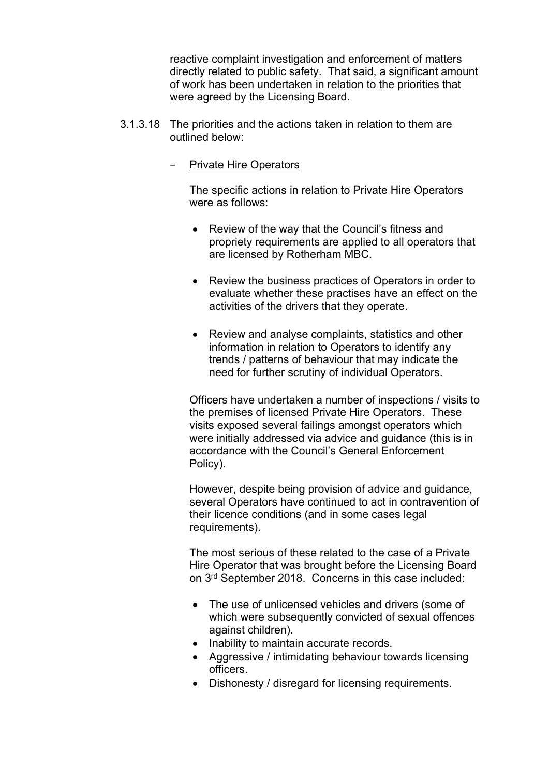reactive complaint investigation and enforcement of matters directly related to public safety. That said, a significant amount of work has been undertaken in relation to the priorities that were agreed by the Licensing Board.

- 3.1.3.18 The priorities and the actions taken in relation to them are outlined below:
	- Private Hire Operators

The specific actions in relation to Private Hire Operators were as follows:

- Review of the way that the Council's fitness and propriety requirements are applied to all operators that are licensed by Rotherham MBC.
- Review the business practices of Operators in order to evaluate whether these practises have an effect on the activities of the drivers that they operate.
- Review and analyse complaints, statistics and other information in relation to Operators to identify any trends / patterns of behaviour that may indicate the need for further scrutiny of individual Operators.

Officers have undertaken a number of inspections / visits to the premises of licensed Private Hire Operators. These visits exposed several failings amongst operators which were initially addressed via advice and guidance (this is in accordance with the Council's General Enforcement Policy).

However, despite being provision of advice and guidance, several Operators have continued to act in contravention of their licence conditions (and in some cases legal requirements).

The most serious of these related to the case of a Private Hire Operator that was brought before the Licensing Board on 3 rd September 2018. Concerns in this case included:

- The use of unlicensed vehicles and drivers (some of which were subsequently convicted of sexual offences against children).
- Inability to maintain accurate records.
- Aggressive / intimidating behaviour towards licensing officers.
- Dishonesty / disregard for licensing requirements.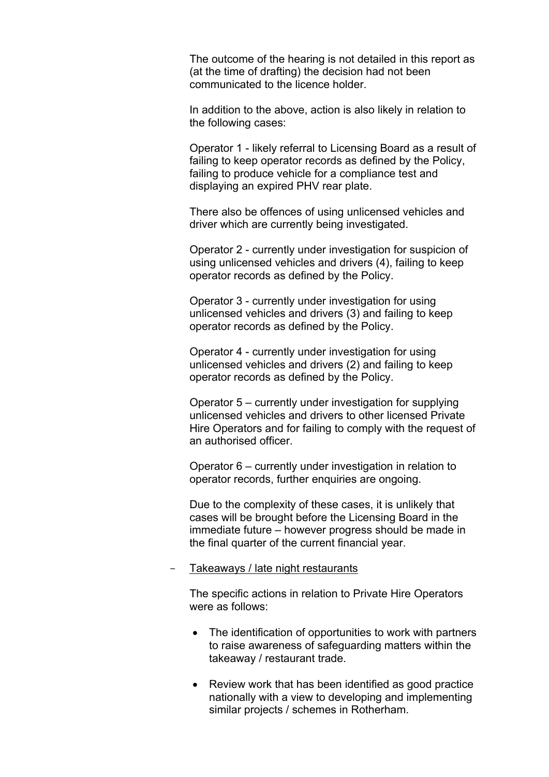The outcome of the hearing is not detailed in this report as (at the time of drafting) the decision had not been communicated to the licence holder.

In addition to the above, action is also likely in relation to the following cases:

Operator 1 - likely referral to Licensing Board as a result of failing to keep operator records as defined by the Policy, failing to produce vehicle for a compliance test and displaying an expired PHV rear plate.

There also be offences of using unlicensed vehicles and driver which are currently being investigated.

Operator 2 - currently under investigation for suspicion of using unlicensed vehicles and drivers (4), failing to keep operator records as defined by the Policy.

Operator 3 - currently under investigation for using unlicensed vehicles and drivers (3) and failing to keep operator records as defined by the Policy.

Operator 4 - currently under investigation for using unlicensed vehicles and drivers (2) and failing to keep operator records as defined by the Policy.

Operator 5 – currently under investigation for supplying unlicensed vehicles and drivers to other licensed Private Hire Operators and for failing to comply with the request of an authorised officer.

Operator 6 – currently under investigation in relation to operator records, further enquiries are ongoing.

Due to the complexity of these cases, it is unlikely that cases will be brought before the Licensing Board in the immediate future – however progress should be made in the final quarter of the current financial year.

#### Takeaways / late night restaurants

The specific actions in relation to Private Hire Operators were as follows:

- The identification of opportunities to work with partners to raise awareness of safeguarding matters within the takeaway / restaurant trade.
- Review work that has been identified as good practice nationally with a view to developing and implementing similar projects / schemes in Rotherham.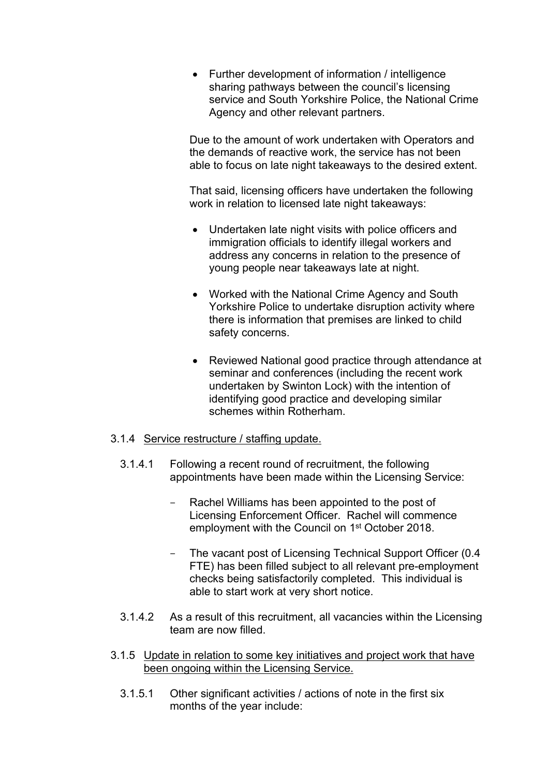Further development of information / intelligence sharing pathways between the council's licensing service and South Yorkshire Police, the National Crime Agency and other relevant partners.

Due to the amount of work undertaken with Operators and the demands of reactive work, the service has not been able to focus on late night takeaways to the desired extent.

That said, licensing officers have undertaken the following work in relation to licensed late night takeaways:

- Undertaken late night visits with police officers and immigration officials to identify illegal workers and address any concerns in relation to the presence of young people near takeaways late at night.
- Worked with the National Crime Agency and South Yorkshire Police to undertake disruption activity where there is information that premises are linked to child safety concerns.
- Reviewed National good practice through attendance at seminar and conferences (including the recent work undertaken by Swinton Lock) with the intention of identifying good practice and developing similar schemes within Rotherham.

### 3.1.4 Service restructure / staffing update.

- 3.1.4.1 Following a recent round of recruitment, the following appointments have been made within the Licensing Service:
	- Rachel Williams has been appointed to the post of Licensing Enforcement Officer. Rachel will commence employment with the Council on 1<sup>st</sup> October 2018.
	- The vacant post of Licensing Technical Support Officer (0.4 FTE) has been filled subject to all relevant pre-employment checks being satisfactorily completed. This individual is able to start work at very short notice.
- 3.1.4.2 As a result of this recruitment, all vacancies within the Licensing team are now filled.
- 3.1.5 Update in relation to some key initiatives and project work that have been ongoing within the Licensing Service.
	- 3.1.5.1 Other significant activities / actions of note in the first six months of the year include: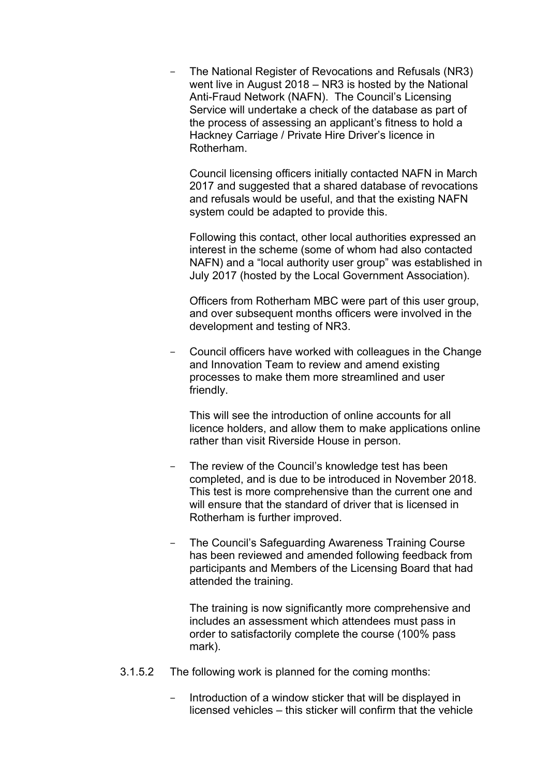The National Register of Revocations and Refusals (NR3) went live in August 2018 – NR3 is hosted by the National Anti-Fraud Network (NAFN). The Council's Licensing Service will undertake a check of the database as part of the process of assessing an applicant's fitness to hold a Hackney Carriage / Private Hire Driver's licence in Rotherham.

Council licensing officers initially contacted NAFN in March 2017 and suggested that a shared database of revocations and refusals would be useful, and that the existing NAFN system could be adapted to provide this.

Following this contact, other local authorities expressed an interest in the scheme (some of whom had also contacted NAFN) and a "local authority user group" was established in July 2017 (hosted by the Local Government Association).

Officers from Rotherham MBC were part of this user group, and over subsequent months officers were involved in the development and testing of NR3.

Council officers have worked with colleagues in the Change and Innovation Team to review and amend existing processes to make them more streamlined and user friendly.

This will see the introduction of online accounts for all licence holders, and allow them to make applications online rather than visit Riverside House in person.

- The review of the Council's knowledge test has been completed, and is due to be introduced in November 2018. This test is more comprehensive than the current one and will ensure that the standard of driver that is licensed in Rotherham is further improved.
- The Council's Safeguarding Awareness Training Course has been reviewed and amended following feedback from participants and Members of the Licensing Board that had attended the training.

The training is now significantly more comprehensive and includes an assessment which attendees must pass in order to satisfactorily complete the course (100% pass mark).

- 3.1.5.2 The following work is planned for the coming months:
	- Introduction of a window sticker that will be displayed in licensed vehicles – this sticker will confirm that the vehicle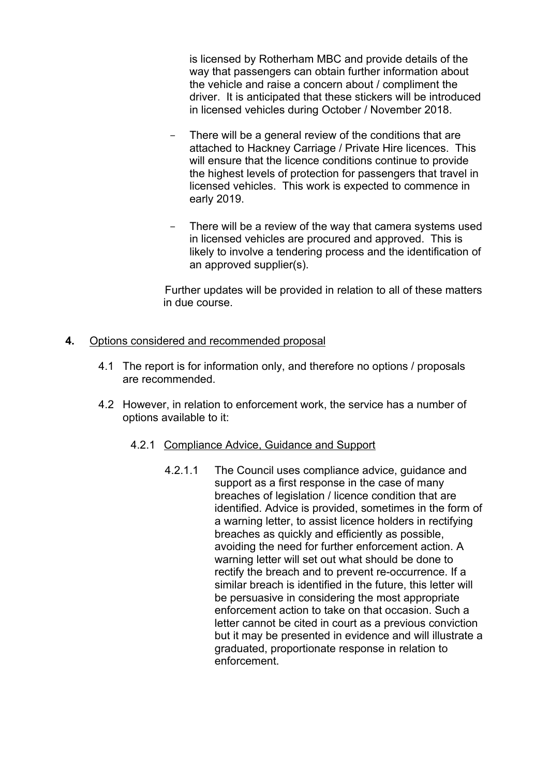is licensed by Rotherham MBC and provide details of the way that passengers can obtain further information about the vehicle and raise a concern about / compliment the driver. It is anticipated that these stickers will be introduced in licensed vehicles during October / November 2018.

- There will be a general review of the conditions that are attached to Hackney Carriage / Private Hire licences. This will ensure that the licence conditions continue to provide the highest levels of protection for passengers that travel in licensed vehicles. This work is expected to commence in early 2019.
- There will be a review of the way that camera systems used in licensed vehicles are procured and approved. This is likely to involve a tendering process and the identification of an approved supplier(s).

Further updates will be provided in relation to all of these matters in due course.

## **4.** Options considered and recommended proposal

- 4.1 The report is for information only, and therefore no options / proposals are recommended.
- 4.2 However, in relation to enforcement work, the service has a number of options available to it:
	- 4.2.1 Compliance Advice, Guidance and Support
		- 4.2.1.1 The Council uses compliance advice, guidance and support as a first response in the case of many breaches of legislation / licence condition that are identified. Advice is provided, sometimes in the form of a warning letter, to assist licence holders in rectifying breaches as quickly and efficiently as possible, avoiding the need for further enforcement action. A warning letter will set out what should be done to rectify the breach and to prevent re-occurrence. If a similar breach is identified in the future, this letter will be persuasive in considering the most appropriate enforcement action to take on that occasion. Such a letter cannot be cited in court as a previous conviction but it may be presented in evidence and will illustrate a graduated, proportionate response in relation to enforcement.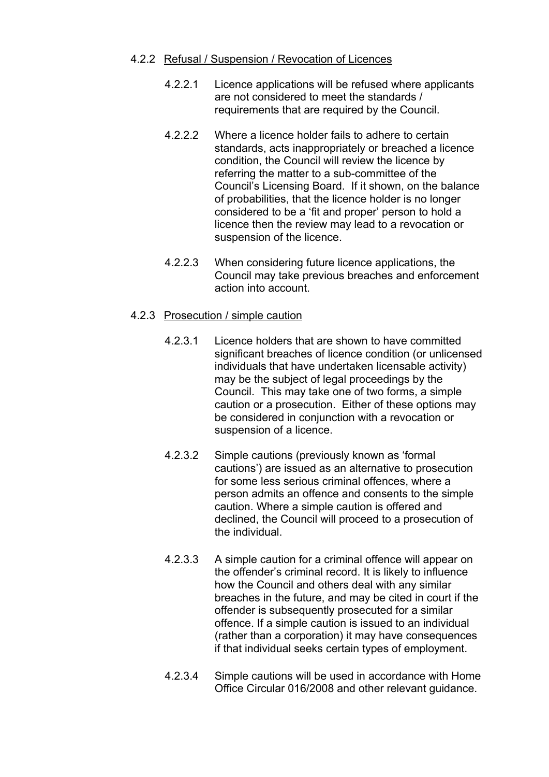### 4.2.2 Refusal / Suspension / Revocation of Licences

- 4.2.2.1 Licence applications will be refused where applicants are not considered to meet the standards / requirements that are required by the Council.
- 4.2.2.2 Where a licence holder fails to adhere to certain standards, acts inappropriately or breached a licence condition, the Council will review the licence by referring the matter to a sub-committee of the Council's Licensing Board. If it shown, on the balance of probabilities, that the licence holder is no longer considered to be a 'fit and proper' person to hold a licence then the review may lead to a revocation or suspension of the licence.
- 4.2.2.3 When considering future licence applications, the Council may take previous breaches and enforcement action into account.

## 4.2.3 Prosecution / simple caution

- 4.2.3.1 Licence holders that are shown to have committed significant breaches of licence condition (or unlicensed individuals that have undertaken licensable activity) may be the subject of legal proceedings by the Council. This may take one of two forms, a simple caution or a prosecution. Either of these options may be considered in conjunction with a revocation or suspension of a licence.
- 4.2.3.2 Simple cautions (previously known as 'formal cautions') are issued as an alternative to prosecution for some less serious criminal offences, where a person admits an offence and consents to the simple caution. Where a simple caution is offered and declined, the Council will proceed to a prosecution of the individual.
- 4.2.3.3 A simple caution for a criminal offence will appear on the offender's criminal record. It is likely to influence how the Council and others deal with any similar breaches in the future, and may be cited in court if the offender is subsequently prosecuted for a similar offence. If a simple caution is issued to an individual (rather than a corporation) it may have consequences if that individual seeks certain types of employment.
- 4.2.3.4 Simple cautions will be used in accordance with Home Office Circular 016/2008 and other relevant guidance.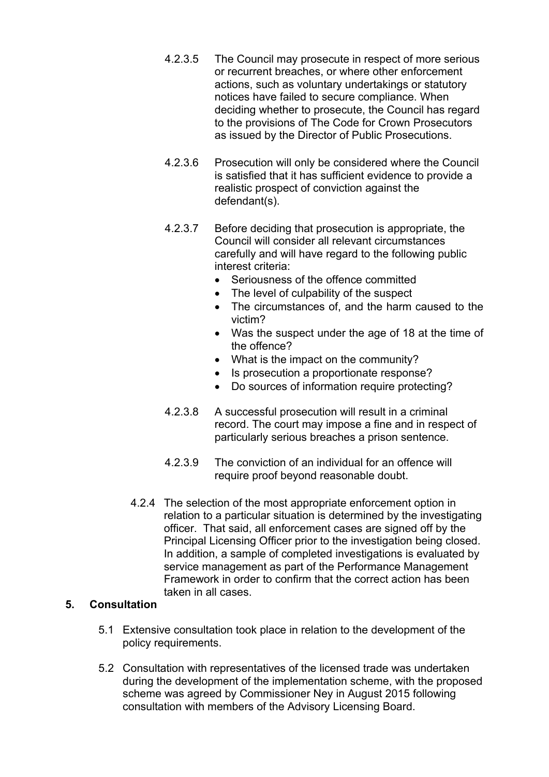- 4.2.3.5 The Council may prosecute in respect of more serious or recurrent breaches, or where other enforcement actions, such as voluntary undertakings or statutory notices have failed to secure compliance. When deciding whether to prosecute, the Council has regard to the provisions of The Code for Crown [Prosecutors](http://www.cps.gov.uk/publications/code_for_crown_prosecutors) as issued by the Director of Public Prosecutions.
- 4.2.3.6 Prosecution will only be considered where the Council is satisfied that it has sufficient evidence to provide a realistic prospect of conviction against the defendant(s).
- 4.2.3.7 Before deciding that prosecution is appropriate, the Council will consider all relevant circumstances carefully and will have regard to the following public interest criteria:
	- Seriousness of the offence committed
	- The level of culpability of the suspect
	- The circumstances of, and the harm caused to the victim?
	- Was the suspect under the age of 18 at the time of the offence?
	- What is the impact on the community?
	- Is prosecution a proportionate response?
	- Do sources of information require protecting?
- 4.2.3.8 A successful prosecution will result in a criminal record. The court may impose a fine and in respect of particularly serious breaches a prison sentence.
- 4.2.3.9 The conviction of an individual for an offence will require proof beyond reasonable doubt.
- 4.2.4 The selection of the most appropriate enforcement option in relation to a particular situation is determined by the investigating officer. That said, all enforcement cases are signed off by the Principal Licensing Officer prior to the investigation being closed. In addition, a sample of completed investigations is evaluated by service management as part of the Performance Management Framework in order to confirm that the correct action has been taken in all cases.

# **5. Consultation**

- 5.1 Extensive consultation took place in relation to the development of the policy requirements.
- 5.2 Consultation with representatives of the licensed trade was undertaken during the development of the implementation scheme, with the proposed scheme was agreed by Commissioner Ney in August 2015 following consultation with members of the Advisory Licensing Board.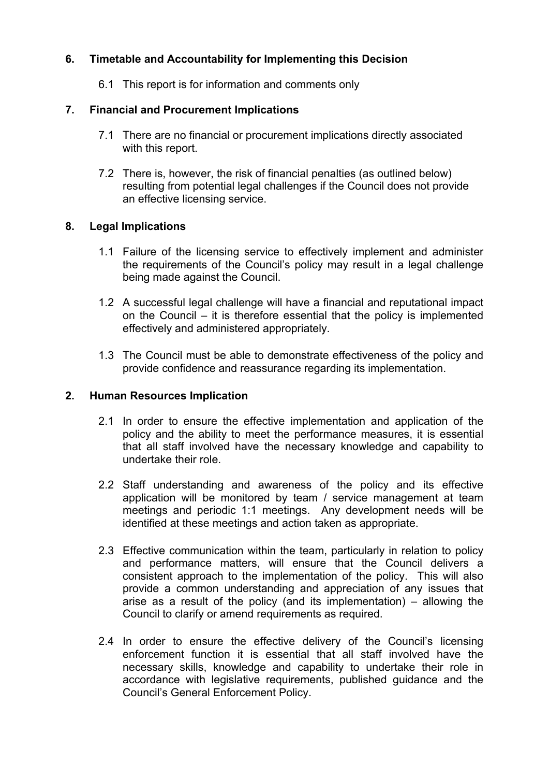# **6. Timetable and Accountability for Implementing this Decision**

6.1 This report is for information and comments only

# **7. Financial and Procurement Implications**

- 7.1 There are no financial or procurement implications directly associated with this report.
- 7.2 There is, however, the risk of financial penalties (as outlined below) resulting from potential legal challenges if the Council does not provide an effective licensing service.

## **8. Legal Implications**

- 1.1 Failure of the licensing service to effectively implement and administer the requirements of the Council's policy may result in a legal challenge being made against the Council.
- 1.2 A successful legal challenge will have a financial and reputational impact on the Council – it is therefore essential that the policy is implemented effectively and administered appropriately.
- 1.3 The Council must be able to demonstrate effectiveness of the policy and provide confidence and reassurance regarding its implementation.

### **2. Human Resources Implication**

- 2.1 In order to ensure the effective implementation and application of the policy and the ability to meet the performance measures, it is essential that all staff involved have the necessary knowledge and capability to undertake their role.
- 2.2 Staff understanding and awareness of the policy and its effective application will be monitored by team / service management at team meetings and periodic 1:1 meetings. Any development needs will be identified at these meetings and action taken as appropriate.
- 2.3 Effective communication within the team, particularly in relation to policy and performance matters, will ensure that the Council delivers a consistent approach to the implementation of the policy. This will also provide a common understanding and appreciation of any issues that arise as a result of the policy (and its implementation) – allowing the Council to clarify or amend requirements as required.
- 2.4 In order to ensure the effective delivery of the Council's licensing enforcement function it is essential that all staff involved have the necessary skills, knowledge and capability to undertake their role in accordance with legislative requirements, published guidance and the Council's General Enforcement Policy.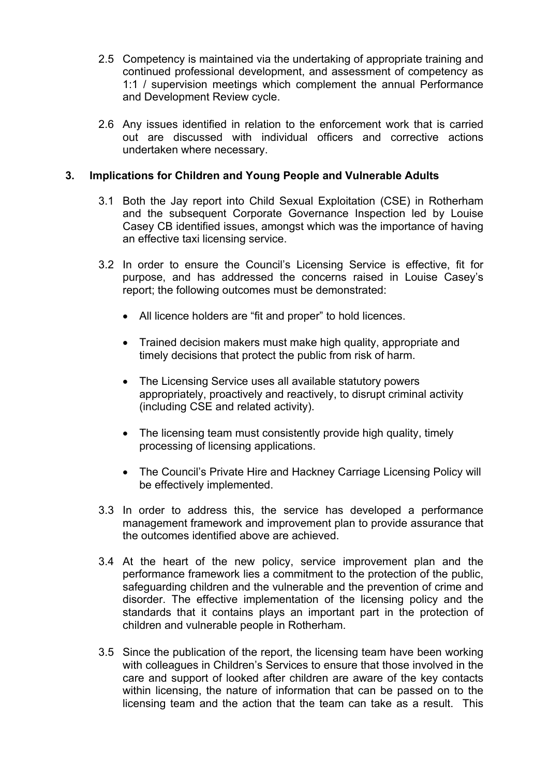- 2.5 Competency is maintained via the undertaking of appropriate training and continued professional development, and assessment of competency as 1:1 / supervision meetings which complement the annual Performance and Development Review cycle.
- 2.6 Any issues identified in relation to the enforcement work that is carried out are discussed with individual officers and corrective actions undertaken where necessary.

### **3. Implications for Children and Young People and Vulnerable Adults**

- 3.1 Both the Jay report into Child Sexual Exploitation (CSE) in Rotherham and the subsequent Corporate Governance Inspection led by Louise Casey CB identified issues, amongst which was the importance of having an effective taxi licensing service.
- 3.2 In order to ensure the Council's Licensing Service is effective, fit for purpose, and has addressed the concerns raised in Louise Casey's report; the following outcomes must be demonstrated:
	- All licence holders are "fit and proper" to hold licences.
	- Trained decision makers must make high quality, appropriate and timely decisions that protect the public from risk of harm.
	- The Licensing Service uses all available statutory powers appropriately, proactively and reactively, to disrupt criminal activity (including CSE and related activity).
	- The licensing team must consistently provide high quality, timely processing of licensing applications.
	- The Council's Private Hire and Hackney Carriage Licensing Policy will be effectively implemented.
- 3.3 In order to address this, the service has developed a performance management framework and improvement plan to provide assurance that the outcomes identified above are achieved.
- 3.4 At the heart of the new policy, service improvement plan and the performance framework lies a commitment to the protection of the public, safeguarding children and the vulnerable and the prevention of crime and disorder. The effective implementation of the licensing policy and the standards that it contains plays an important part in the protection of children and vulnerable people in Rotherham.
- 3.5 Since the publication of the report, the licensing team have been working with colleagues in Children's Services to ensure that those involved in the care and support of looked after children are aware of the key contacts within licensing, the nature of information that can be passed on to the licensing team and the action that the team can take as a result. This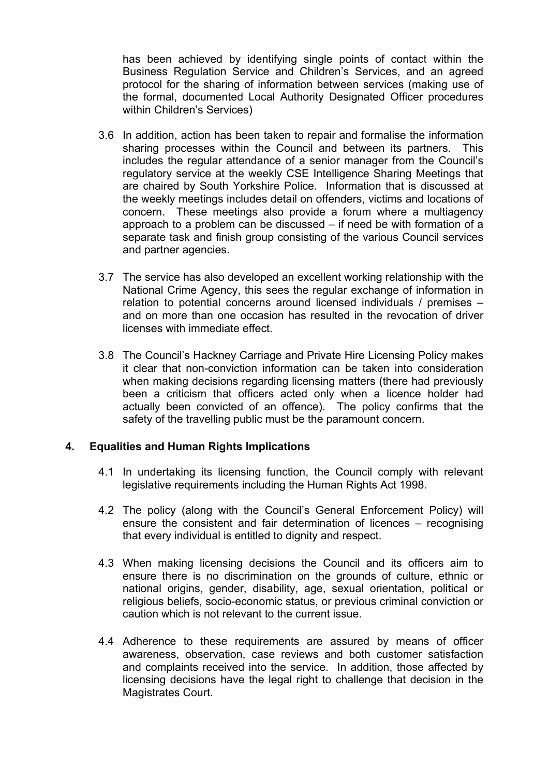has been achieved by identifying single points of contact within the Business Regulation Service and Children's Services, and an agreed protocol for the sharing of information between services (making use of the formal, documented Local Authority Designated Officer procedures within Children's Services)

- 3.6 In addition, action has been taken to repair and formalise the information sharing processes within the Council and between its partners. This includes the regular attendance of a senior manager from the Council's regulatory service at the weekly CSE Intelligence Sharing Meetings that are chaired by South Yorkshire Police. Information that is discussed at the weekly meetings includes detail on offenders, victims and locations of concern. These meetings also provide a forum where a multiagency approach to a problem can be discussed – if need be with formation of a separate task and finish group consisting of the various Council services and partner agencies.
- 3.7 The service has also developed an excellent working relationship with the National Crime Agency, this sees the regular exchange of information in relation to potential concerns around licensed individuals / premises – and on more than one occasion has resulted in the revocation of driver licenses with immediate effect.
- 3.8 The Council's Hackney Carriage and Private Hire Licensing Policy makes it clear that non-conviction information can be taken into consideration when making decisions regarding licensing matters (there had previously been a criticism that officers acted only when a licence holder had actually been convicted of an offence). The policy confirms that the safety of the travelling public must be the paramount concern.

### **4. Equalities and Human Rights Implications**

- 4.1 In undertaking its licensing function, the Council comply with relevant legislative requirements including the Human Rights Act 1998.
- 4.2 The policy (along with the Council's General Enforcement Policy) will ensure the consistent and fair determination of licences – recognising that every individual is entitled to dignity and respect.
- 4.3 When making licensing decisions the Council and its officers aim to ensure there is no discrimination on the grounds of culture, ethnic or national origins, gender, disability, age, sexual orientation, political or religious beliefs, socio-economic status, or previous criminal conviction or caution which is not relevant to the current issue.
- 4.4 Adherence to these requirements are assured by means of officer awareness, observation, case reviews and both customer satisfaction and complaints received into the service. In addition, those affected by licensing decisions have the legal right to challenge that decision in the Magistrates Court.